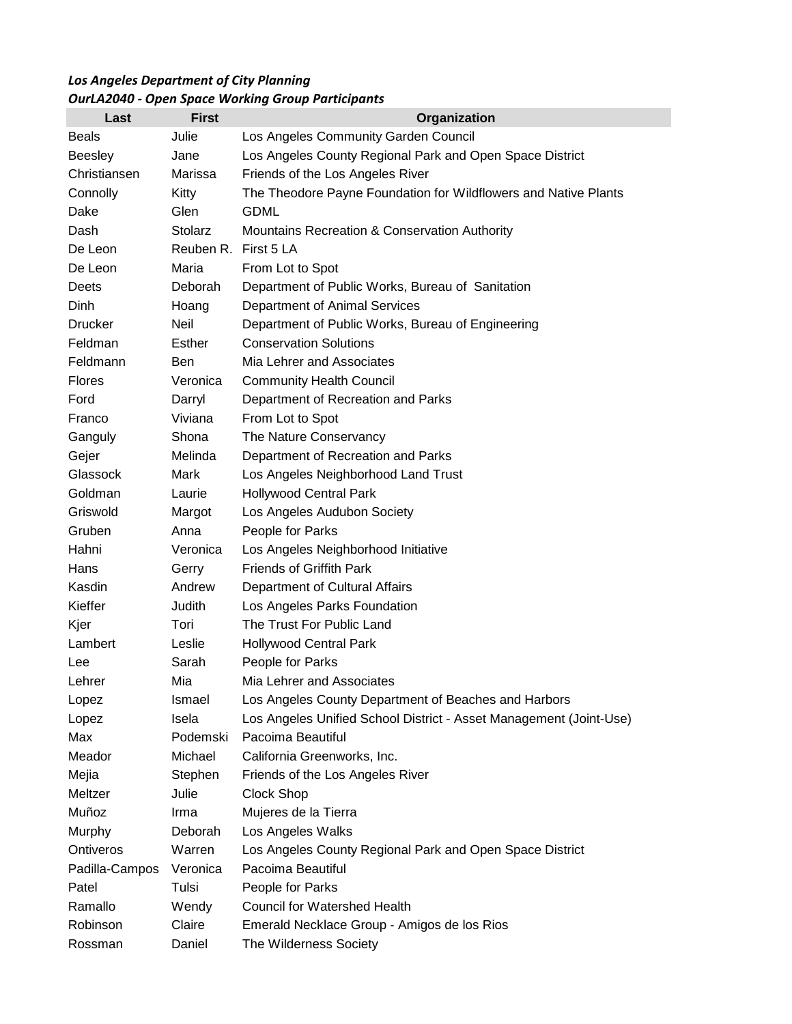## *Los Angeles Department of City Planning OurLA2040 - Open Space Working Group Participants*

| Last           | <b>First</b>   | Organization                                                       |
|----------------|----------------|--------------------------------------------------------------------|
| <b>Beals</b>   | Julie          | Los Angeles Community Garden Council                               |
| <b>Beesley</b> | Jane           | Los Angeles County Regional Park and Open Space District           |
| Christiansen   | Marissa        | Friends of the Los Angeles River                                   |
| Connolly       | Kitty          | The Theodore Payne Foundation for Wildflowers and Native Plants    |
| Dake           | Glen           | <b>GDML</b>                                                        |
| Dash           | <b>Stolarz</b> | Mountains Recreation & Conservation Authority                      |
| De Leon        | Reuben R.      | First 5 LA                                                         |
| De Leon        | Maria          | From Lot to Spot                                                   |
| Deets          | Deborah        | Department of Public Works, Bureau of Sanitation                   |
| Dinh           | Hoang          | Department of Animal Services                                      |
| <b>Drucker</b> | Neil           | Department of Public Works, Bureau of Engineering                  |
| Feldman        | Esther         | <b>Conservation Solutions</b>                                      |
| Feldmann       | Ben            | Mia Lehrer and Associates                                          |
| <b>Flores</b>  | Veronica       | <b>Community Health Council</b>                                    |
| Ford           | Darryl         | Department of Recreation and Parks                                 |
| Franco         | Viviana        | From Lot to Spot                                                   |
| Ganguly        | Shona          | The Nature Conservancy                                             |
| Gejer          | Melinda        | Department of Recreation and Parks                                 |
| Glassock       | Mark           | Los Angeles Neighborhood Land Trust                                |
| Goldman        | Laurie         | <b>Hollywood Central Park</b>                                      |
| Griswold       | Margot         | Los Angeles Audubon Society                                        |
| Gruben         | Anna           | People for Parks                                                   |
| Hahni          | Veronica       | Los Angeles Neighborhood Initiative                                |
| Hans           | Gerry          | <b>Friends of Griffith Park</b>                                    |
| Kasdin         | Andrew         | Department of Cultural Affairs                                     |
| Kieffer        | Judith         | Los Angeles Parks Foundation                                       |
| Kjer           | Tori           | The Trust For Public Land                                          |
| Lambert        | Leslie         | <b>Hollywood Central Park</b>                                      |
| Lee            | Sarah          | People for Parks                                                   |
| Lehrer         | Mia            | Mia Lehrer and Associates                                          |
| Lopez          | Ismael         | Los Angeles County Department of Beaches and Harbors               |
| Lopez          | Isela          | Los Angeles Unified School District - Asset Management (Joint-Use) |
| Max            | Podemski       | Pacoima Beautiful                                                  |
| Meador         | Michael        | California Greenworks, Inc.                                        |
| Mejia          | Stephen        | Friends of the Los Angeles River                                   |
| Meltzer        | Julie          | Clock Shop                                                         |
| Muñoz          | Irma           | Mujeres de la Tierra                                               |
| Murphy         | Deborah        | Los Angeles Walks                                                  |
| Ontiveros      | Warren         | Los Angeles County Regional Park and Open Space District           |
| Padilla-Campos | Veronica       | Pacoima Beautiful                                                  |
| Patel          | Tulsi          | People for Parks                                                   |
| Ramallo        | Wendy          | <b>Council for Watershed Health</b>                                |
| Robinson       | Claire         | Emerald Necklace Group - Amigos de los Rios                        |
| Rossman        | Daniel         | The Wilderness Society                                             |